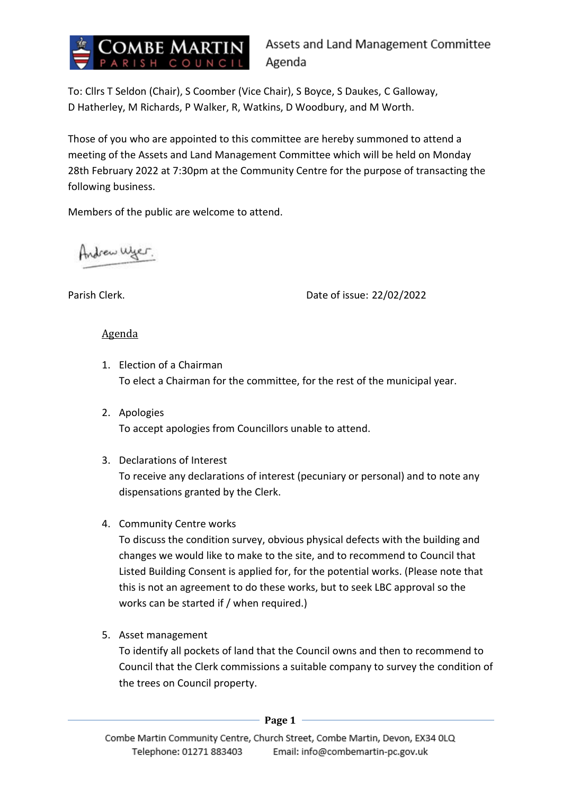

To: Cllrs T Seldon (Chair), S Coomber (Vice Chair), S Boyce, S Daukes, C Galloway, D Hatherley, M Richards, P Walker, R, Watkins, D Woodbury, and M Worth.

Those of you who are appointed to this committee are hereby summoned to attend a meeting of the Assets and Land Management Committee which will be held on Monday 28th February 2022 at 7:30pm at the Community Centre for the purpose of transacting the following business.

Members of the public are welcome to attend.

Indrew Wyer.

Parish Clerk. Date of issue: 22/02/2022

## Agenda

- 1. Election of a Chairman To elect a Chairman for the committee, for the rest of the municipal year.
- 2. Apologies To accept apologies from Councillors unable to attend.
- 3. Declarations of Interest

To receive any declarations of interest (pecuniary or personal) and to note any dispensations granted by the Clerk.

4. Community Centre works

To discuss the condition survey, obvious physical defects with the building and changes we would like to make to the site, and to recommend to Council that Listed Building Consent is applied for, for the potential works. (Please note that this is not an agreement to do these works, but to seek LBC approval so the works can be started if / when required.)

5. Asset management

To identify all pockets of land that the Council owns and then to recommend to Council that the Clerk commissions a suitable company to survey the condition of the trees on Council property.